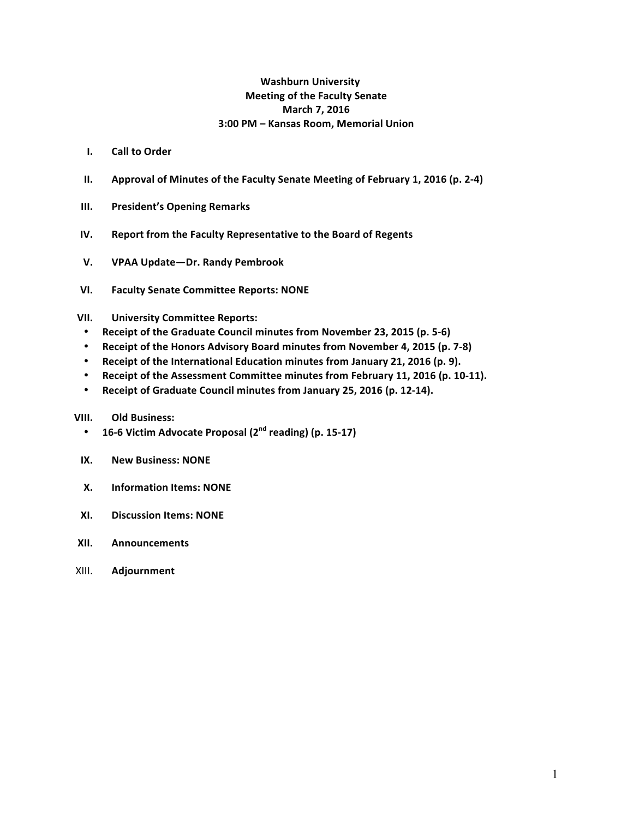#### **Washburn University Meeting of the Faculty Senate March 7, 2016 3:00 PM – Kansas Room, Memorial Union**

- **I. Call to Order**
- **II.** Approval of Minutes of the Faculty Senate Meeting of February 1, 2016 (p. 2-4)
- **III.** President's Opening Remarks
- **IV.** Report from the Faculty Representative to the Board of Regents
- **V. VPAA Update—Dr. Randy Pembrook**
- **VI. Faculty Senate Committee Reports: NONE**
- **VII. University Committee Reports:**
- Receipt of the Graduate Council minutes from November 23, 2015 (p. 5-6)
- **Receipt of the Honors Advisory Board minutes from November 4, 2015 (p. 7-8)**
- Receipt of the International Education minutes from January 21, 2016 (p. 9).
- Receipt of the Assessment Committee minutes from February 11, 2016 (p. 10-11).
- Receipt of Graduate Council minutes from January 25, 2016 (p. 12-14).

#### **VIII. Old Business:**

- **16-6 Victim Advocate Proposal (2nd reading) (p. 15-17)**
- **IX.** New Business: NONE
- **X.** Information Items: NONE
- **XI. Discussion Items: NONE**
- **XII. Announcements**
- XIII. **Adjournment**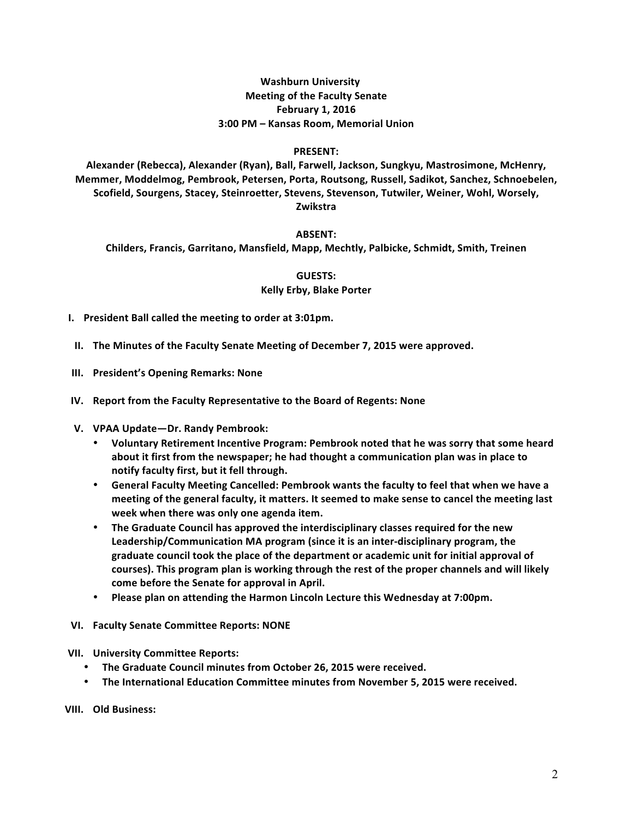#### **Washburn University Meeting of the Faculty Senate February 1, 2016 3:00 PM – Kansas Room, Memorial Union**

#### **PRESENT:**

Alexander (Rebecca), Alexander (Ryan), Ball, Farwell, Jackson, Sungkyu, Mastrosimone, McHenry, Memmer, Moddelmog, Pembrook, Petersen, Porta, Routsong, Russell, Sadikot, Sanchez, Schnoebelen, Scofield, Sourgens, Stacey, Steinroetter, Stevens, Stevenson, Tutwiler, Weiner, Wohl, Worsely, **Zwikstra**

#### **ABSENT:**

**Childers, Francis, Garritano, Mansfield, Mapp, Mechtly, Palbicke, Schmidt, Smith, Treinen**

**GUESTS:**

#### **Kelly Erby, Blake Porter**

- **I.** President Ball called the meeting to order at 3:01pm.
- **II.** The Minutes of the Faculty Senate Meeting of December 7, 2015 were approved.
- **III.** President's Opening Remarks: None
- **IV.** Report from the Faculty Representative to the Board of Regents: None
- **V. VPAA Update—Dr. Randy Pembrook:**
	- Voluntary Retirement Incentive Program: Pembrook noted that he was sorry that some heard about it first from the newspaper; he had thought a communication plan was in place to notify faculty first, but it fell through.
	- General Faculty Meeting Cancelled: Pembrook wants the faculty to feel that when we have a meeting of the general faculty, it matters. It seemed to make sense to cancel the meeting last **week** when there was only one agenda item.
	- The Graduate Council has approved the interdisciplinary classes required for the new Leadership/Communication MA program (since it is an inter-disciplinary program, the graduate council took the place of the department or academic unit for initial approval of courses). This program plan is working through the rest of the proper channels and will likely come before the Senate for approval in April.
	- Please plan on attending the Harmon Lincoln Lecture this Wednesday at 7:00pm.
- **VI. Faculty Senate Committee Reports: NONE**
- **VII. University Committee Reports:**
	- The Graduate Council minutes from October 26, 2015 were received.
	- The International Education Committee minutes from November 5, 2015 were received.

**VIII. Old Business:**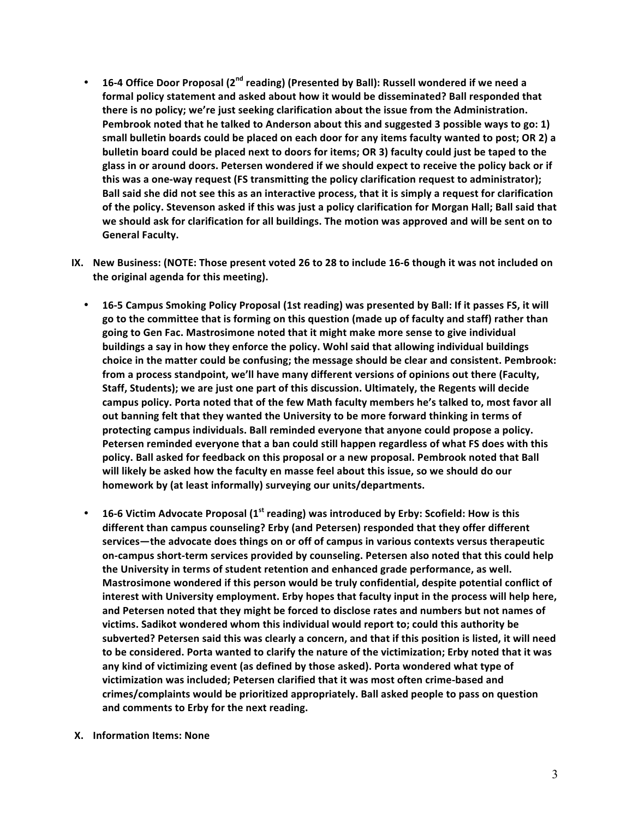- 16-4 Office Door Proposal (2<sup>nd</sup> reading) (Presented by Ball): Russell wondered if we need a formal policy statement and asked about how it would be disseminated? Ball responded that there is no policy; we're just seeking clarification about the issue from the Administration. Pembrook noted that he talked to Anderson about this and suggested 3 possible ways to go: 1) small bulletin boards could be placed on each door for any items faculty wanted to post; OR 2) a **bulletin board could be placed next to doors for items; OR 3) faculty could just be taped to the** glass in or around doors. Petersen wondered if we should expect to receive the policy back or if this was a one-way request (FS transmitting the policy clarification request to administrator); Ball said she did not see this as an interactive process, that it is simply a request for clarification of the policy. Stevenson asked if this was just a policy clarification for Morgan Hall; Ball said that we should ask for clarification for all buildings. The motion was approved and will be sent on to **General Faculty.**
- IX. New Business: (NOTE: Those present voted 26 to 28 to include 16-6 though it was not included on the original agenda for this meeting).
	- 16-5 Campus Smoking Policy Proposal (1st reading) was presented by Ball: If it passes FS, it will go to the committee that is forming on this question (made up of faculty and staff) rather than going to Gen Fac. Mastrosimone noted that it might make more sense to give individual buildings a say in how they enforce the policy. Wohl said that allowing individual buildings choice in the matter could be confusing; the message should be clear and consistent. Pembrook: from a process standpoint, we'll have many different versions of opinions out there (Faculty, Staff, Students); we are just one part of this discussion. Ultimately, the Regents will decide campus policy. Porta noted that of the few Math faculty members he's talked to, most favor all out banning felt that they wanted the University to be more forward thinking in terms of protecting campus individuals. Ball reminded everyone that anyone could propose a policy. Petersen reminded everyone that a ban could still happen regardless of what FS does with this policy. Ball asked for feedback on this proposal or a new proposal. Pembrook noted that Ball will likely be asked how the faculty en masse feel about this issue, so we should do our homework by (at least informally) surveying our units/departments.
	- 16-6 Victim Advocate Proposal (1<sup>st</sup> reading) was introduced by Erby: Scofield: How is this different than campus counseling? Erby (and Petersen) responded that they offer different services—the advocate does things on or off of campus in various contexts versus therapeutic on-campus short-term services provided by counseling. Petersen also noted that this could help the University in terms of student retention and enhanced grade performance, as well. Mastrosimone wondered if this person would be truly confidential, despite potential conflict of interest with University employment. Erby hopes that faculty input in the process will help here, and Petersen noted that they might be forced to disclose rates and numbers but not names of victims. Sadikot wondered whom this individual would report to; could this authority be subverted? Petersen said this was clearly a concern, and that if this position is listed, it will need to be considered. Porta wanted to clarify the nature of the victimization; Erby noted that it was any kind of victimizing event (as defined by those asked). Porta wondered what type of victimization was included; Petersen clarified that it was most often crime-based and crimes/complaints would be prioritized appropriately. Ball asked people to pass on question and comments to Erby for the next reading.
- **X. Information Items: None**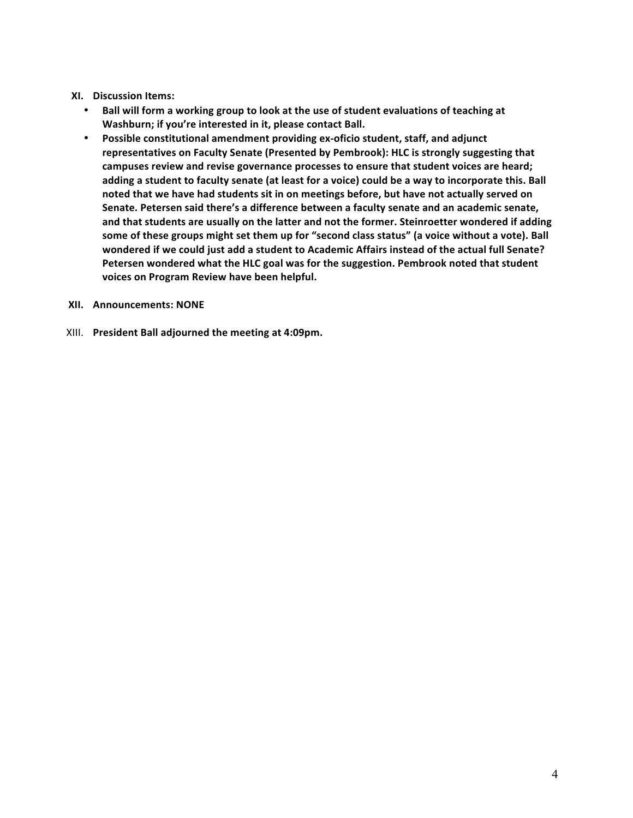#### **XI. Discussion Items:**

- Ball will form a working group to look at the use of student evaluations of teaching at Washburn; if you're interested in it, please contact Ball.
- Possible constitutional amendment providing ex-oficio student, staff, and adjunct representatives on Faculty Senate (Presented by Pembrook): HLC is strongly suggesting that campuses review and revise governance processes to ensure that student voices are heard; adding a student to faculty senate (at least for a voice) could be a way to incorporate this. Ball noted that we have had students sit in on meetings before, but have not actually served on Senate. Petersen said there's a difference between a faculty senate and an academic senate, and that students are usually on the latter and not the former. Steinroetter wondered if adding some of these groups might set them up for "second class status" (a voice without a vote). Ball wondered if we could just add a student to Academic Affairs instead of the actual full Senate? Petersen wondered what the HLC goal was for the suggestion. Pembrook noted that student voices on Program Review have been helpful.

#### **XII. Announcements: NONE**

XIII. President Ball adjourned the meeting at 4:09pm.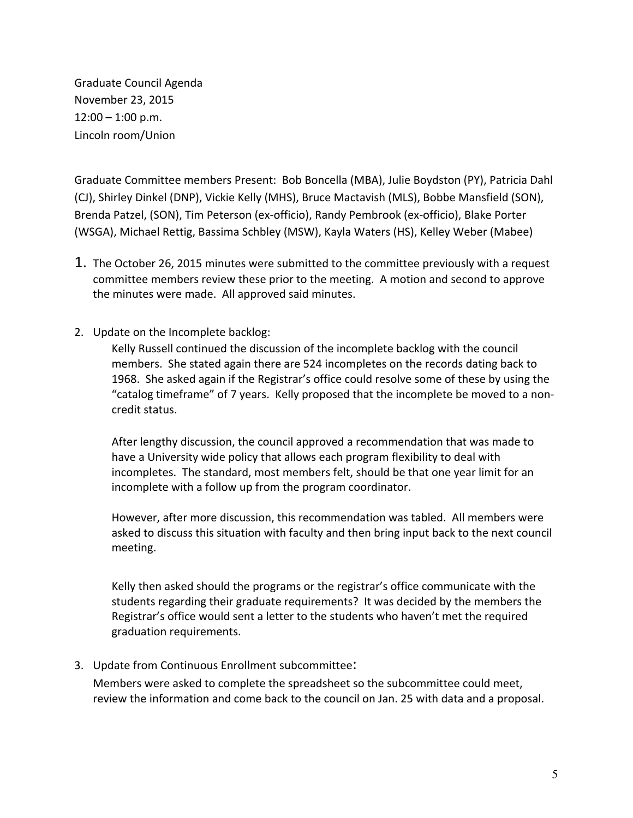Graduate Council Agenda November 23, 2015  $12:00 - 1:00$  p.m. Lincoln room/Union

Graduate Committee members Present: Bob Boncella (MBA), Julie Boydston (PY), Patricia Dahl (CJ), Shirley Dinkel (DNP), Vickie Kelly (MHS), Bruce Mactavish (MLS), Bobbe Mansfield (SON), Brenda Patzel, (SON), Tim Peterson (ex-officio), Randy Pembrook (ex-officio), Blake Porter (WSGA), Michael Rettig, Bassima Schbley (MSW), Kayla Waters (HS), Kelley Weber (Mabee)

- 1. The October 26, 2015 minutes were submitted to the committee previously with a request committee members review these prior to the meeting. A motion and second to approve the minutes were made. All approved said minutes.
- 2. Update on the Incomplete backlog:

Kelly Russell continued the discussion of the incomplete backlog with the council members. She stated again there are 524 incompletes on the records dating back to 1968. She asked again if the Registrar's office could resolve some of these by using the "catalog timeframe" of 7 years. Kelly proposed that the incomplete be moved to a noncredit status. 

After lengthy discussion, the council approved a recommendation that was made to have a University wide policy that allows each program flexibility to deal with incompletes. The standard, most members felt, should be that one year limit for an incomplete with a follow up from the program coordinator.

However, after more discussion, this recommendation was tabled. All members were asked to discuss this situation with faculty and then bring input back to the next council meeting. 

Kelly then asked should the programs or the registrar's office communicate with the students regarding their graduate requirements? It was decided by the members the Registrar's office would sent a letter to the students who haven't met the required graduation requirements.

3. Update from Continuous Enrollment subcommittee:

Members were asked to complete the spreadsheet so the subcommittee could meet, review the information and come back to the council on Jan. 25 with data and a proposal.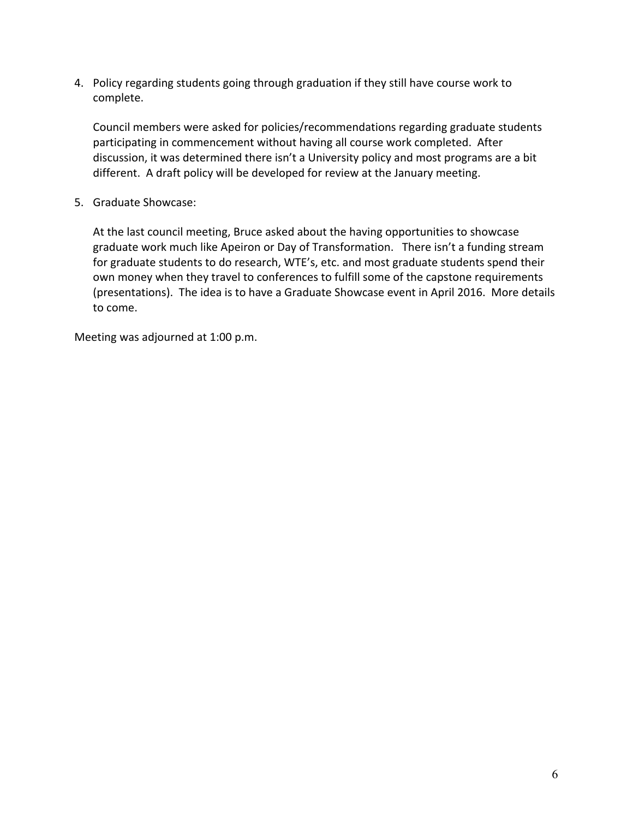4. Policy regarding students going through graduation if they still have course work to complete.

Council members were asked for policies/recommendations regarding graduate students participating in commencement without having all course work completed. After discussion, it was determined there isn't a University policy and most programs are a bit different. A draft policy will be developed for review at the January meeting.

5. Graduate Showcase:

At the last council meeting, Bruce asked about the having opportunities to showcase graduate work much like Apeiron or Day of Transformation. There isn't a funding stream for graduate students to do research, WTE's, etc. and most graduate students spend their own money when they travel to conferences to fulfill some of the capstone requirements (presentations). The idea is to have a Graduate Showcase event in April 2016. More details to come.

Meeting was adjourned at 1:00 p.m.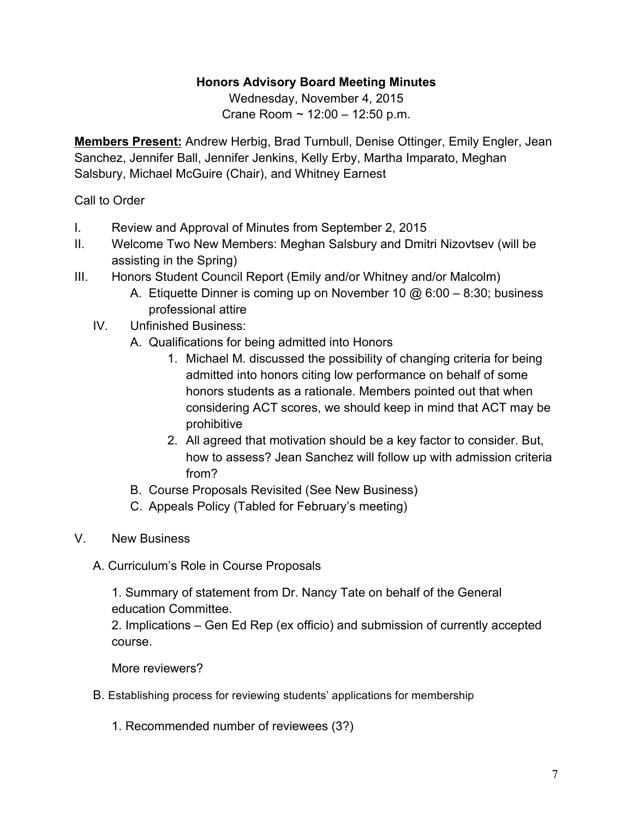# **Honors Advisory Board Meeting Minutes**

Wednesday, November 4, 2015 Crane Room ~ 12:00 – 12:50 p.m.

**Members Present:** Andrew Herbig, Brad Turnbull, Denise Ottinger, Emily Engler, Jean Sanchez, Jennifer Ball, Jennifer Jenkins, Kelly Erby, Martha Imparato, Meghan Salsbury, Michael McGuire (Chair), and Whitney Earnest

# Call to Order

- I. Review and Approval of Minutes from September 2, 2015
- II. Welcome Two New Members: Meghan Salsbury and Dmitri Nizovtsev (will be assisting in the Spring)
- III. Honors Student Council Report (Emily and/or Whitney and/or Malcolm)
	- A. Etiquette Dinner is coming up on November 10 @ 6:00 8:30; business professional attire
	- IV. Unfinished Business:
		- A. Qualifications for being admitted into Honors
			- 1. Michael M. discussed the possibility of changing criteria for being admitted into honors citing low performance on behalf of some honors students as a rationale. Members pointed out that when considering ACT scores, we should keep in mind that ACT may be prohibitive
			- 2. All agreed that motivation should be a key factor to consider. But, how to assess? Jean Sanchez will follow up with admission criteria from?
		- B. Course Proposals Revisited (See New Business)
		- C. Appeals Policy (Tabled for February's meeting)
- V. New Business
	- A. Curriculum's Role in Course Proposals

1. Summary of statement from Dr. Nancy Tate on behalf of the General education Committee.

2. Implications – Gen Ed Rep (ex officio) and submission of currently accepted course.

More reviewers?

- B. Establishing process for reviewing students' applications for membership
	- 1. Recommended number of reviewees (3?)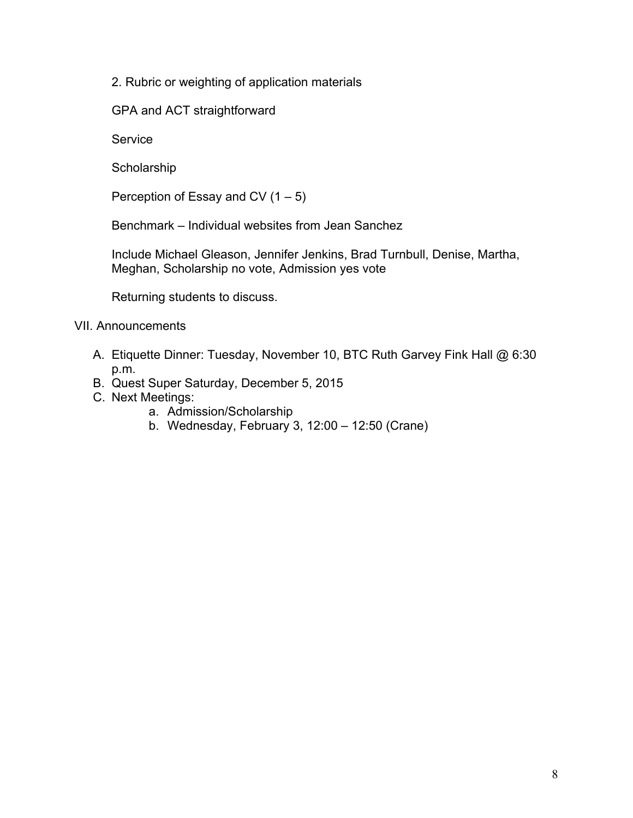2. Rubric or weighting of application materials

GPA and ACT straightforward

**Service** 

**Scholarship** 

Perception of Essay and CV  $(1 – 5)$ 

Benchmark – Individual websites from Jean Sanchez

Include Michael Gleason, Jennifer Jenkins, Brad Turnbull, Denise, Martha, Meghan, Scholarship no vote, Admission yes vote

Returning students to discuss.

## VII. Announcements

- A. Etiquette Dinner: Tuesday, November 10, BTC Ruth Garvey Fink Hall @ 6:30 p.m.
- B. Quest Super Saturday, December 5, 2015
- C. Next Meetings:
	- a. Admission/Scholarship
	- b. Wednesday, February 3, 12:00 12:50 (Crane)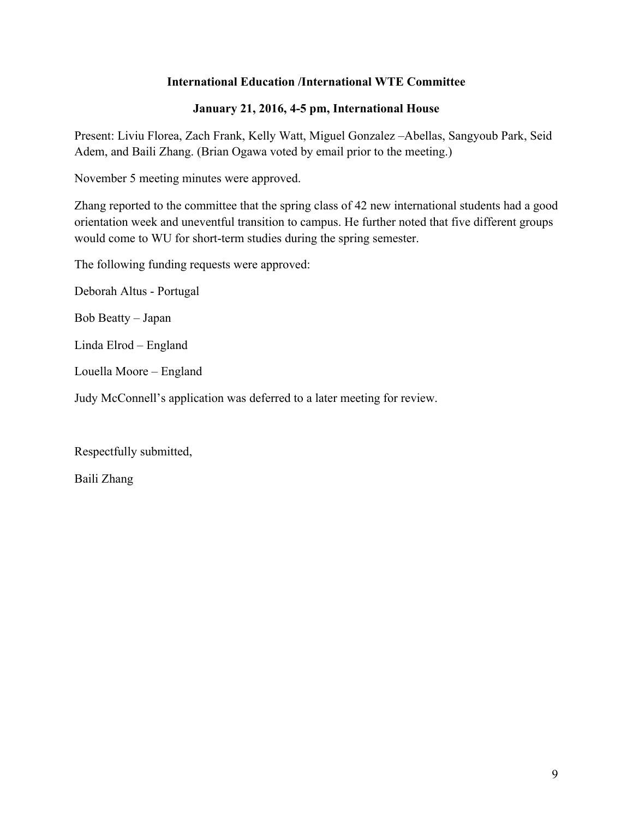## **International Education /International WTE Committee**

## **January 21, 2016, 4-5 pm, International House**

Present: Liviu Florea, Zach Frank, Kelly Watt, Miguel Gonzalez –Abellas, Sangyoub Park, Seid Adem, and Baili Zhang. (Brian Ogawa voted by email prior to the meeting.)

November 5 meeting minutes were approved.

Zhang reported to the committee that the spring class of 42 new international students had a good orientation week and uneventful transition to campus. He further noted that five different groups would come to WU for short-term studies during the spring semester.

The following funding requests were approved:

Deborah Altus - Portugal

Bob Beatty – Japan

Linda Elrod – England

Louella Moore – England

Judy McConnell's application was deferred to a later meeting for review.

Respectfully submitted,

Baili Zhang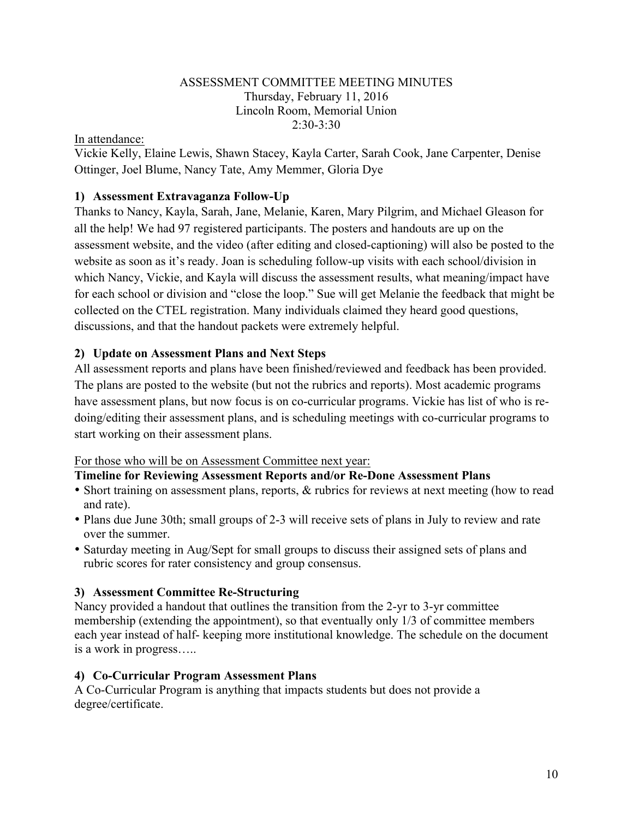#### ASSESSMENT COMMITTEE MEETING MINUTES Thursday, February 11, 2016 Lincoln Room, Memorial Union  $2:30-3:30$

#### In attendance:

Vickie Kelly, Elaine Lewis, Shawn Stacey, Kayla Carter, Sarah Cook, Jane Carpenter, Denise Ottinger, Joel Blume, Nancy Tate, Amy Memmer, Gloria Dye

## **1) Assessment Extravaganza Follow-Up**

Thanks to Nancy, Kayla, Sarah, Jane, Melanie, Karen, Mary Pilgrim, and Michael Gleason for all the help! We had 97 registered participants. The posters and handouts are up on the assessment website, and the video (after editing and closed-captioning) will also be posted to the website as soon as it's ready. Joan is scheduling follow-up visits with each school/division in which Nancy, Vickie, and Kayla will discuss the assessment results, what meaning/impact have for each school or division and "close the loop." Sue will get Melanie the feedback that might be collected on the CTEL registration. Many individuals claimed they heard good questions, discussions, and that the handout packets were extremely helpful.

#### **2) Update on Assessment Plans and Next Steps**

All assessment reports and plans have been finished/reviewed and feedback has been provided. The plans are posted to the website (but not the rubrics and reports). Most academic programs have assessment plans, but now focus is on co-curricular programs. Vickie has list of who is redoing/editing their assessment plans, and is scheduling meetings with co-curricular programs to start working on their assessment plans.

#### For those who will be on Assessment Committee next year:

#### **Timeline for Reviewing Assessment Reports and/or Re-Done Assessment Plans**

- Short training on assessment plans, reports,  $\&$  rubrics for reviews at next meeting (how to read and rate).
- Plans due June 30th; small groups of 2-3 will receive sets of plans in July to review and rate over the summer.
- Saturday meeting in Aug/Sept for small groups to discuss their assigned sets of plans and rubric scores for rater consistency and group consensus.

#### **3) Assessment Committee Re-Structuring**

Nancy provided a handout that outlines the transition from the 2-yr to 3-yr committee membership (extending the appointment), so that eventually only 1/3 of committee members each year instead of half- keeping more institutional knowledge. The schedule on the document is a work in progress…..

#### **4) Co-Curricular Program Assessment Plans**

A Co-Curricular Program is anything that impacts students but does not provide a degree/certificate.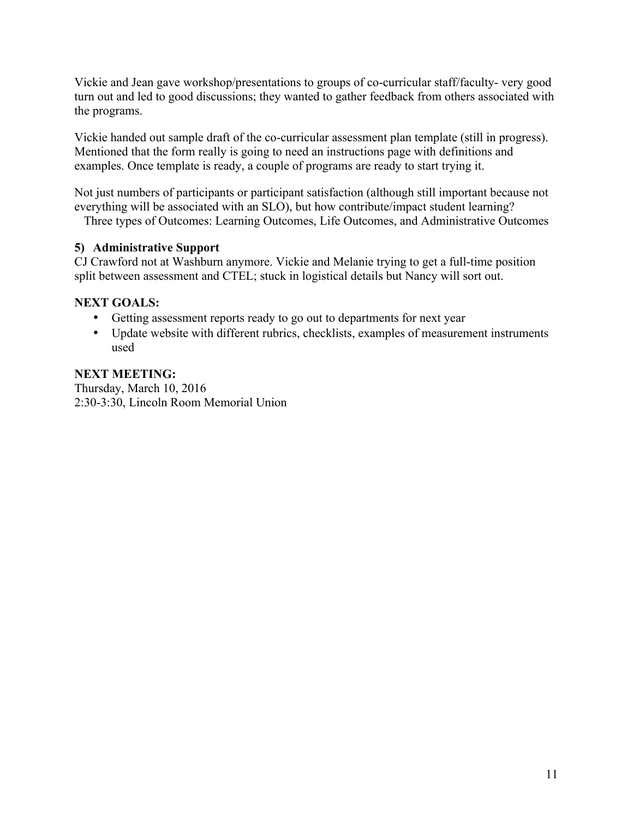Vickie and Jean gave workshop/presentations to groups of co-curricular staff/faculty- very good turn out and led to good discussions; they wanted to gather feedback from others associated with the programs.

Vickie handed out sample draft of the co-curricular assessment plan template (still in progress). Mentioned that the form really is going to need an instructions page with definitions and examples. Once template is ready, a couple of programs are ready to start trying it.

Not just numbers of participants or participant satisfaction (although still important because not everything will be associated with an SLO), but how contribute/impact student learning?

Three types of Outcomes: Learning Outcomes, Life Outcomes, and Administrative Outcomes

# **5) Administrative Support**

CJ Crawford not at Washburn anymore. Vickie and Melanie trying to get a full-time position split between assessment and CTEL; stuck in logistical details but Nancy will sort out.

# **NEXT GOALS:**

- Getting assessment reports ready to go out to departments for next year
- Update website with different rubrics, checklists, examples of measurement instruments used

# **NEXT MEETING:**

Thursday, March 10, 2016 2:30-3:30, Lincoln Room Memorial Union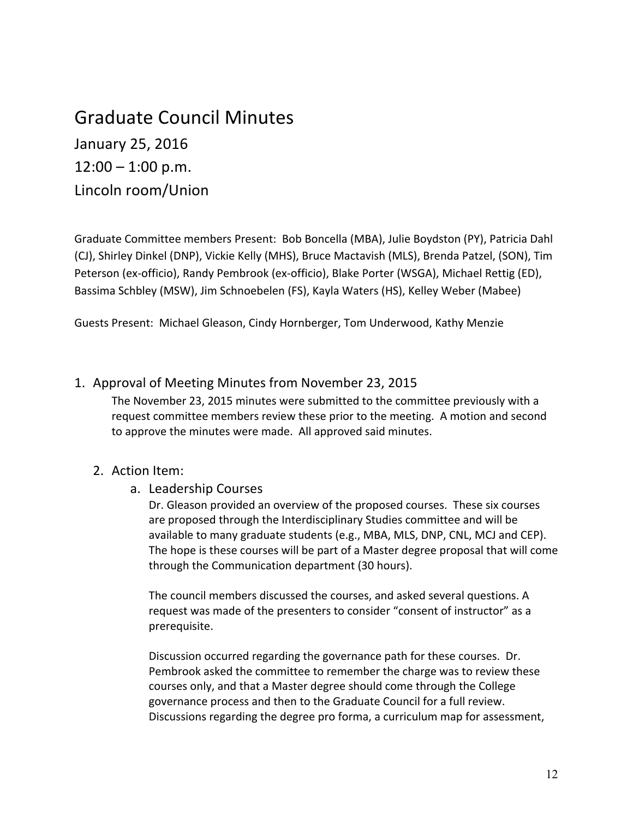# Graduate Council Minutes January 25, 2016  $12:00 - 1:00$  p.m. Lincoln room/Union

Graduate Committee members Present: Bob Boncella (MBA), Julie Boydston (PY), Patricia Dahl (CJ), Shirley Dinkel (DNP), Vickie Kelly (MHS), Bruce Mactavish (MLS), Brenda Patzel, (SON), Tim Peterson (ex-officio), Randy Pembrook (ex-officio), Blake Porter (WSGA), Michael Rettig (ED), Bassima Schbley (MSW), Jim Schnoebelen (FS), Kayla Waters (HS), Kelley Weber (Mabee)

Guests Present: Michael Gleason, Cindy Hornberger, Tom Underwood, Kathy Menzie

## 1. Approval of Meeting Minutes from November 23, 2015

The November 23, 2015 minutes were submitted to the committee previously with a request committee members review these prior to the meeting. A motion and second to approve the minutes were made. All approved said minutes.

#### 2. Action Item:

#### a. Leadership Courses

Dr. Gleason provided an overview of the proposed courses. These six courses are proposed through the Interdisciplinary Studies committee and will be available to many graduate students (e.g., MBA, MLS, DNP, CNL, MCJ and CEP). The hope is these courses will be part of a Master degree proposal that will come through the Communication department (30 hours).

The council members discussed the courses, and asked several questions. A request was made of the presenters to consider "consent of instructor" as a prerequisite. 

Discussion occurred regarding the governance path for these courses. Dr. Pembrook asked the committee to remember the charge was to review these courses only, and that a Master degree should come through the College governance process and then to the Graduate Council for a full review. Discussions regarding the degree pro forma, a curriculum map for assessment,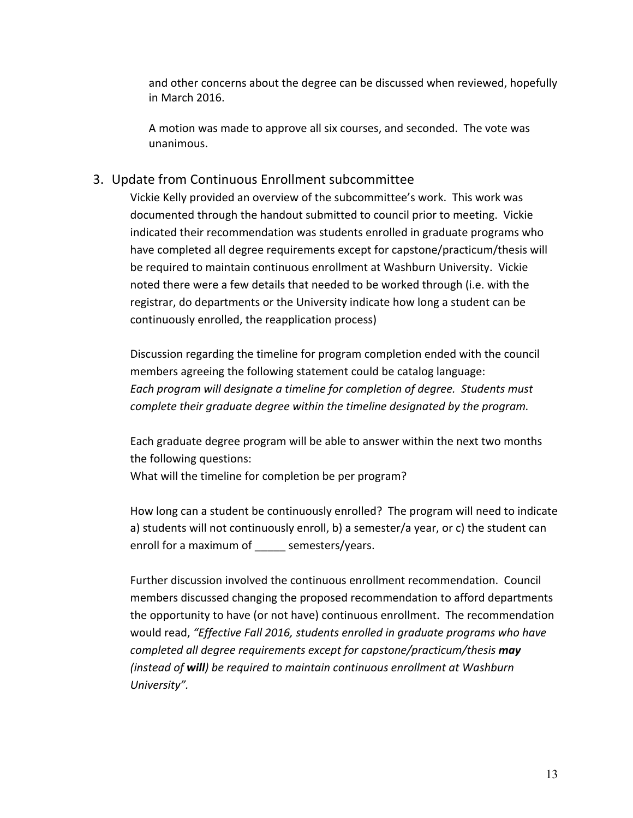and other concerns about the degree can be discussed when reviewed, hopefully in March 2016.

A motion was made to approve all six courses, and seconded. The vote was unanimous. 

## 3. Update from Continuous Enrollment subcommittee

Vickie Kelly provided an overview of the subcommittee's work. This work was documented through the handout submitted to council prior to meeting. Vickie indicated their recommendation was students enrolled in graduate programs who have completed all degree requirements except for capstone/practicum/thesis will be required to maintain continuous enrollment at Washburn University. Vickie noted there were a few details that needed to be worked through (i.e. with the registrar, do departments or the University indicate how long a student can be continuously enrolled, the reapplication process)

Discussion regarding the timeline for program completion ended with the council members agreeing the following statement could be catalog language: Each program will designate a timeline for completion of degree. Students must *complete their graduate degree within the timeline designated by the program.* 

Each graduate degree program will be able to answer within the next two months the following questions:

What will the timeline for completion be per program?

How long can a student be continuously enrolled? The program will need to indicate a) students will not continuously enroll, b) a semester/a year, or c) the student can enroll for a maximum of semesters/years.

Further discussion involved the continuous enrollment recommendation. Council members discussed changing the proposed recommendation to afford departments the opportunity to have (or not have) continuous enrollment. The recommendation would read, "Effective Fall 2016, students enrolled in graduate programs who have *completed all degree requirements except for capstone/practicum/thesis* may *(instead of will)* be required to maintain continuous enrollment at Washburn *University".*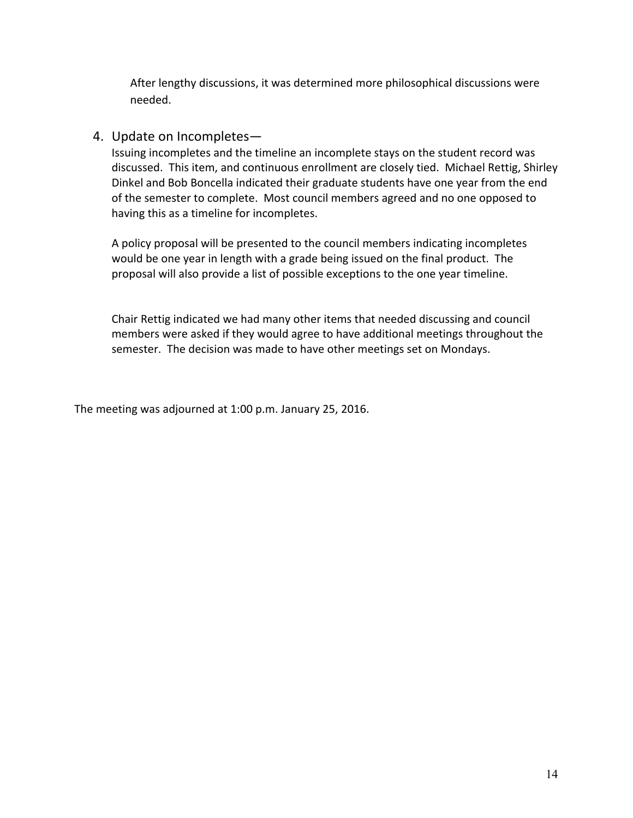After lengthy discussions, it was determined more philosophical discussions were needed. 

#### 4. Update on Incompletes-

Issuing incompletes and the timeline an incomplete stays on the student record was discussed. This item, and continuous enrollment are closely tied. Michael Rettig, Shirley Dinkel and Bob Boncella indicated their graduate students have one year from the end of the semester to complete. Most council members agreed and no one opposed to having this as a timeline for incompletes.

A policy proposal will be presented to the council members indicating incompletes would be one year in length with a grade being issued on the final product. The proposal will also provide a list of possible exceptions to the one year timeline.

Chair Rettig indicated we had many other items that needed discussing and council members were asked if they would agree to have additional meetings throughout the semester. The decision was made to have other meetings set on Mondays.

The meeting was adjourned at 1:00 p.m. January 25, 2016.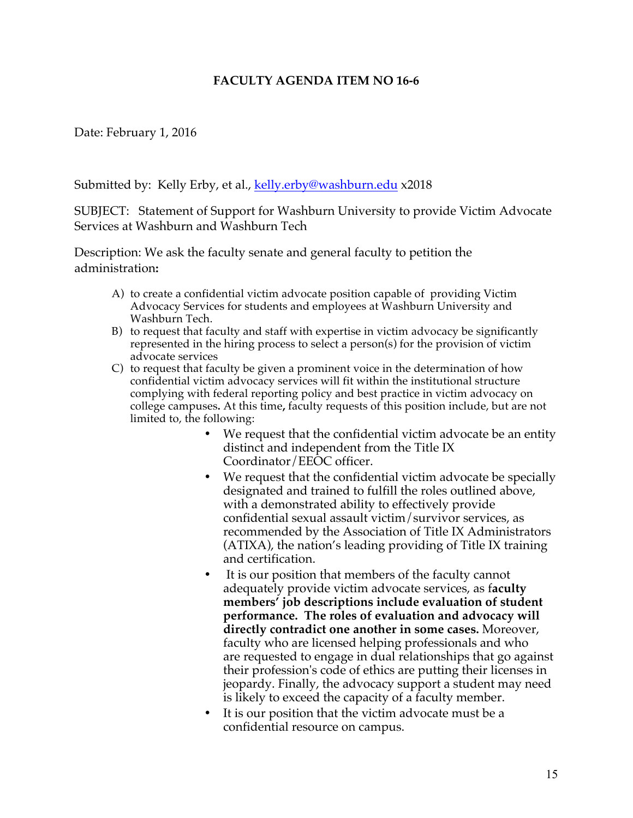## **FACULTY AGENDA ITEM NO 16-6**

Date: February 1, 2016

Submitted by: Kelly Erby, et al., kelly.erby@washburn.edu x2018

SUBJECT: Statement of Support for Washburn University to provide Victim Advocate Services at Washburn and Washburn Tech

Description: We ask the faculty senate and general faculty to petition the administration**:** 

- A) to create a confidential victim advocate position capable of providing Victim Advocacy Services for students and employees at Washburn University and Washburn Tech.
- B) to request that faculty and staff with expertise in victim advocacy be significantly represented in the hiring process to select a person(s) for the provision of victim advocate services
- C) to request that faculty be given a prominent voice in the determination of how confidential victim advocacy services will fit within the institutional structure complying with federal reporting policy and best practice in victim advocacy on college campuses**.** At this time**,** faculty requests of this position include, but are not limited to, the following:
	- We request that the confidential victim advocate be an entity distinct and independent from the Title IX Coordinator/EEOC officer.
	- We request that the confidential victim advocate be specially designated and trained to fulfill the roles outlined above, with a demonstrated ability to effectively provide confidential sexual assault victim/survivor services, as recommended by the Association of Title IX Administrators (ATIXA), the nation's leading providing of Title IX training and certification.
	- It is our position that members of the faculty cannot adequately provide victim advocate services, as f**aculty members' job descriptions include evaluation of student performance. The roles of evaluation and advocacy will directly contradict one another in some cases.** Moreover, faculty who are licensed helping professionals and who are requested to engage in dual relationships that go against their profession's code of ethics are putting their licenses in jeopardy. Finally, the advocacy support a student may need is likely to exceed the capacity of a faculty member.
	- It is our position that the victim advocate must be a confidential resource on campus.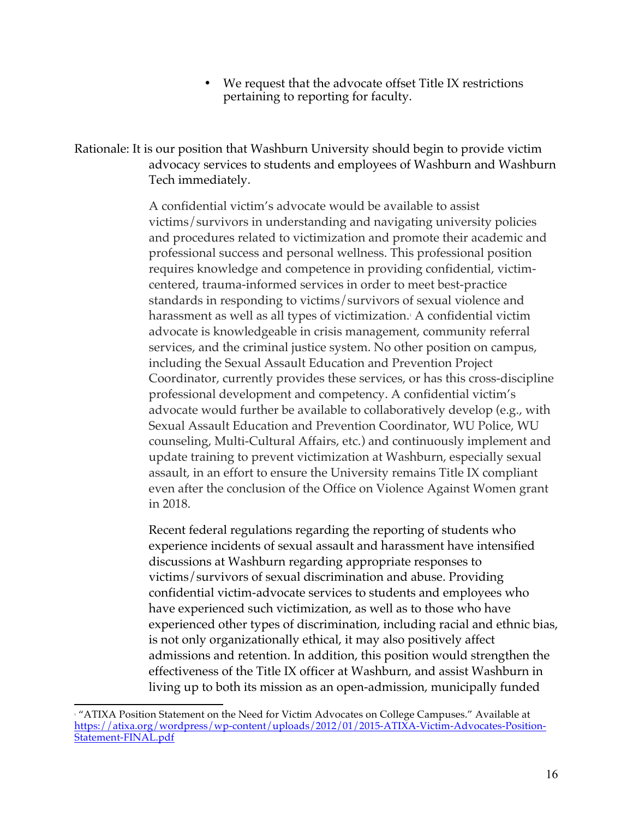We request that the advocate offset Title IX restrictions pertaining to reporting for faculty.

Rationale: It is our position that Washburn University should begin to provide victim advocacy services to students and employees of Washburn and Washburn Tech immediately.

> A confidential victim's advocate would be available to assist victims/survivors in understanding and navigating university policies and procedures related to victimization and promote their academic and professional success and personal wellness. This professional position requires knowledge and competence in providing confidential, victimcentered, trauma-informed services in order to meet best-practice standards in responding to victims/survivors of sexual violence and harassment as well as all types of victimization.<sup>1</sup> A confidential victim advocate is knowledgeable in crisis management, community referral services, and the criminal justice system. No other position on campus, including the Sexual Assault Education and Prevention Project Coordinator, currently provides these services, or has this cross-discipline professional development and competency. A confidential victim's advocate would further be available to collaboratively develop (e.g., with Sexual Assault Education and Prevention Coordinator, WU Police, WU counseling, Multi-Cultural Affairs, etc.) and continuously implement and update training to prevent victimization at Washburn, especially sexual assault, in an effort to ensure the University remains Title IX compliant even after the conclusion of the Office on Violence Against Women grant in 2018.

> Recent federal regulations regarding the reporting of students who experience incidents of sexual assault and harassment have intensified discussions at Washburn regarding appropriate responses to victims/survivors of sexual discrimination and abuse. Providing confidential victim-advocate services to students and employees who have experienced such victimization, as well as to those who have experienced other types of discrimination, including racial and ethnic bias, is not only organizationally ethical, it may also positively affect admissions and retention. In addition, this position would strengthen the effectiveness of the Title IX officer at Washburn, and assist Washburn in living up to both its mission as an open-admission, municipally funded

<sup>&</sup>lt;u> 1989 - Jan Stein Stein, fransk politiker (d. 1989)</u>  $1$ <sup>'</sup>ATIXA Position Statement on the Need for Victim Advocates on College Campuses." Available at https://atixa.org/wordpress/wp-content/uploads/2012/01/2015-ATIXA-Victim-Advocates-Position-Statement-FINAL.pdf